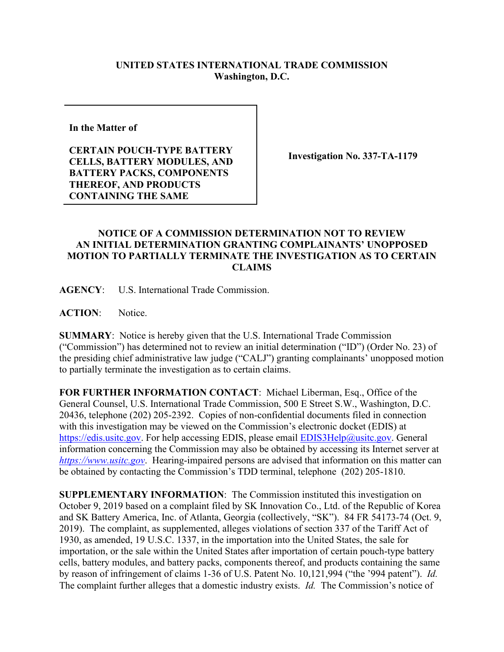## **UNITED STATES INTERNATIONAL TRADE COMMISSION Washington, D.C.**

**In the Matter of** 

**CERTAIN POUCH-TYPE BATTERY CELLS, BATTERY MODULES, AND BATTERY PACKS, COMPONENTS THEREOF, AND PRODUCTS CONTAINING THE SAME**

**Investigation No. 337-TA-1179**

## **NOTICE OF A COMMISSION DETERMINATION NOT TO REVIEW AN INITIAL DETERMINATION GRANTING COMPLAINANTS' UNOPPOSED MOTION TO PARTIALLY TERMINATE THE INVESTIGATION AS TO CERTAIN CLAIMS**

**AGENCY**: U.S. International Trade Commission.

**ACTION**: Notice.

**SUMMARY**: Notice is hereby given that the U.S. International Trade Commission ("Commission") has determined not to review an initial determination ("ID") (Order No. 23) of the presiding chief administrative law judge ("CALJ") granting complainants' unopposed motion to partially terminate the investigation as to certain claims.

**FOR FURTHER INFORMATION CONTACT**: Michael Liberman, Esq., Office of the General Counsel, U.S. International Trade Commission, 500 E Street S.W., Washington, D.C. 20436, telephone (202) 205-2392. Copies of non-confidential documents filed in connection with this investigation may be viewed on the Commission's electronic docket (EDIS) at [https://edis.usitc.gov.](https://edis.usitc.gov/) For help accessing EDIS, please email [EDIS3Help@usitc.gov.](mailto:EDIS3Help@usitc.gov) General information concerning the Commission may also be obtained by accessing its Internet server at *[https://www.usitc.gov](https://www.usitc.gov/)*. Hearing-impaired persons are advised that information on this matter can be obtained by contacting the Commission's TDD terminal, telephone (202) 205-1810.

**SUPPLEMENTARY INFORMATION**: The Commission instituted this investigation on October 9, 2019 based on a complaint filed by SK Innovation Co., Ltd. of the Republic of Korea and SK Battery America, Inc. of Atlanta, Georgia (collectively, "SK"). 84 FR 54173-74 (Oct. 9, 2019). The complaint, as supplemented, alleges violations of section 337 of the Tariff Act of 1930, as amended, 19 U.S.C. 1337, in the importation into the United States, the sale for importation, or the sale within the United States after importation of certain pouch-type battery cells, battery modules, and battery packs, components thereof, and products containing the same by reason of infringement of claims 1-36 of U.S. Patent No. 10,121,994 ("the '994 patent"). *Id.* The complaint further alleges that a domestic industry exists. *Id.* The Commission's notice of